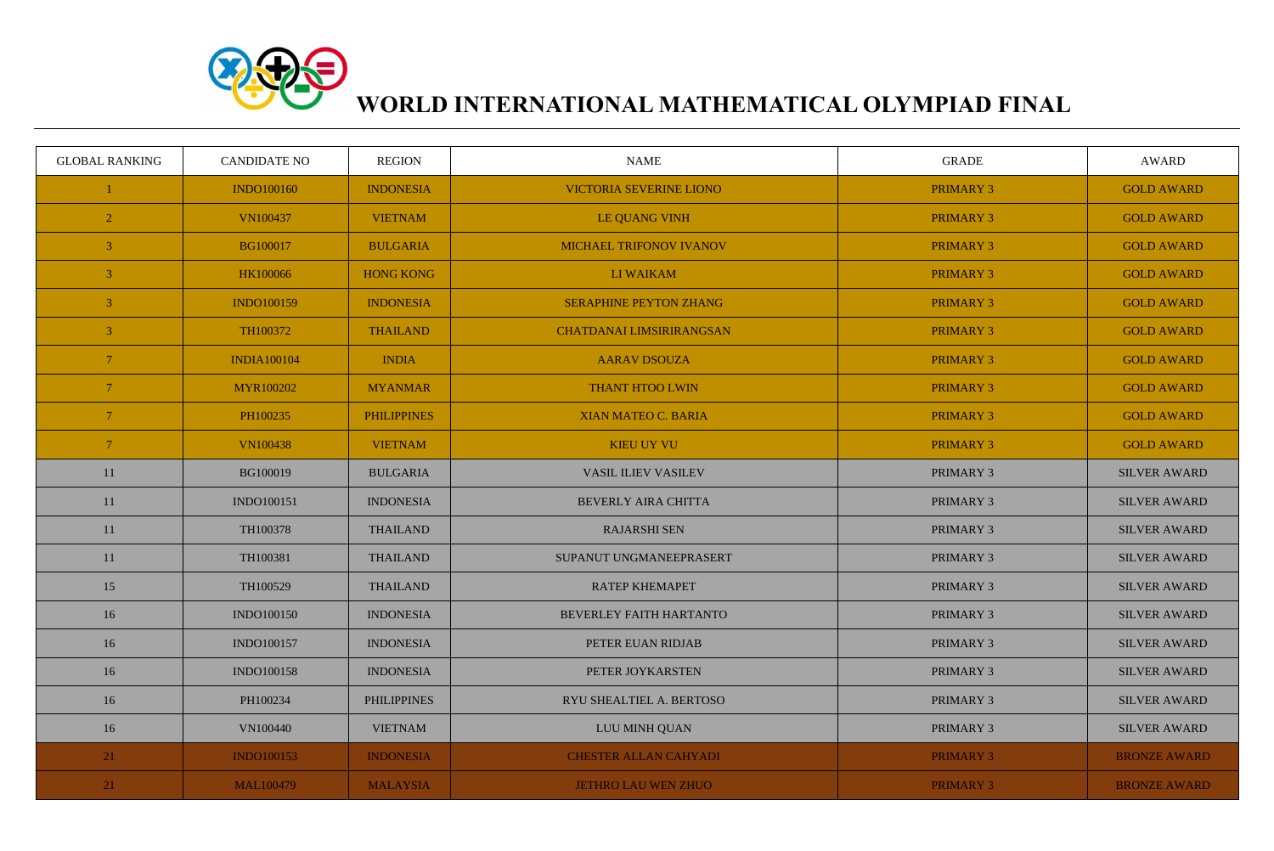

## **WORLD INTERNATIONAL MATHEMATICAL OLYMPIAD FINAL**

| <b>GLOBAL RANKING</b> | <b>CANDIDATE NO</b> | <b>REGION</b>      | <b>NAME</b>                     | <b>GRADE</b>     | <b>AWARD</b>        |
|-----------------------|---------------------|--------------------|---------------------------------|------------------|---------------------|
|                       | <b>INDO100160</b>   | <b>INDONESIA</b>   | <b>VICTORIA SEVERINE LIONO</b>  | PRIMARY 3        | <b>GOLD AWARD</b>   |
| $\overline{2}$        | VN100437            | <b>VIETNAM</b>     | <b>LE QUANG VINH</b>            | <b>PRIMARY 3</b> | <b>GOLD AWARD</b>   |
| $\overline{3}$        | <b>BG100017</b>     | <b>BULGARIA</b>    | <b>MICHAEL TRIFONOV IVANOV</b>  | PRIMARY 3        | <b>GOLD AWARD</b>   |
| $\overline{3}$        | HK100066            | <b>HONG KONG</b>   | LI WAIKAM                       | <b>PRIMARY 3</b> | <b>GOLD AWARD</b>   |
| $\mathbf{3}$          | <b>INDO100159</b>   | <b>INDONESIA</b>   | <b>SERAPHINE PEYTON ZHANG</b>   | <b>PRIMARY 3</b> | <b>GOLD AWARD</b>   |
| $\mathfrak{Z}$        | TH100372            | <b>THAILAND</b>    | <b>CHATDANAI LIMSIRIRANGSAN</b> | <b>PRIMARY 3</b> | <b>GOLD AWARD</b>   |
| 7 <sup>1</sup>        | <b>INDIA100104</b>  | <b>INDIA</b>       | <b>AARAV DSOUZA</b>             | PRIMARY 3        | <b>GOLD AWARD</b>   |
| $7\phantom{.0}$       | MYR100202           | <b>MYANMAR</b>     | <b>THANT HTOO LWIN</b>          | PRIMARY 3        | <b>GOLD AWARD</b>   |
| $\overline{7}$        | PH100235            | <b>PHILIPPINES</b> | <b>XIAN MATEO C. BARIA</b>      | PRIMARY 3        | <b>GOLD AWARD</b>   |
| $\sqrt{7}$            | <b>VN100438</b>     | <b>VIETNAM</b>     | <b>KIEU UY VU</b>               | PRIMARY 3        | <b>GOLD AWARD</b>   |
| 11                    | BG100019            | <b>BULGARIA</b>    | <b>VASIL ILIEV VASILEV</b>      | PRIMARY 3        | <b>SILVER AWARD</b> |
| 11                    | INDO100151          | <b>INDONESIA</b>   | <b>BEVERLY AIRA CHITTA</b>      | PRIMARY 3        | <b>SILVER AWARD</b> |
| 11                    | TH100378            | <b>THAILAND</b>    | <b>RAJARSHI SEN</b>             | PRIMARY 3        | <b>SILVER AWARD</b> |
| 11                    | TH100381            | <b>THAILAND</b>    | SUPANUT UNGMANEEPRASERT         | PRIMARY 3        | <b>SILVER AWARD</b> |
| 15                    | TH100529            | <b>THAILAND</b>    | <b>RATEP KHEMAPET</b>           | PRIMARY 3        | <b>SILVER AWARD</b> |
| 16                    | <b>INDO100150</b>   | <b>INDONESIA</b>   | <b>BEVERLEY FAITH HARTANTO</b>  | PRIMARY 3        | <b>SILVER AWARD</b> |
| 16                    | INDO100157          | <b>INDONESIA</b>   | PETER EUAN RIDJAB               | PRIMARY 3        | <b>SILVER AWARD</b> |
| 16                    | <b>INDO100158</b>   | <b>INDONESIA</b>   | PETER JOYKARSTEN                | PRIMARY 3        | <b>SILVER AWARD</b> |
| 16                    | PH100234            | <b>PHILIPPINES</b> | RYU SHEALTIEL A. BERTOSO        | PRIMARY 3        | <b>SILVER AWARD</b> |
| 16                    | <b>VN100440</b>     | <b>VIETNAM</b>     | LUU MINH QUAN                   | PRIMARY 3        | <b>SILVER AWARD</b> |
| 21                    | <b>INDO100153</b>   | <b>INDONESIA</b>   | <b>CHESTER ALLAN CAHYADI</b>    | <b>PRIMARY 3</b> | <b>BRONZE AWARD</b> |
| 21                    | <b>MAL100479</b>    | <b>MALAYSIA</b>    | <b>JETHRO LAU WEN ZHUO</b>      | <b>PRIMARY 3</b> | <b>BRONZE AWARD</b> |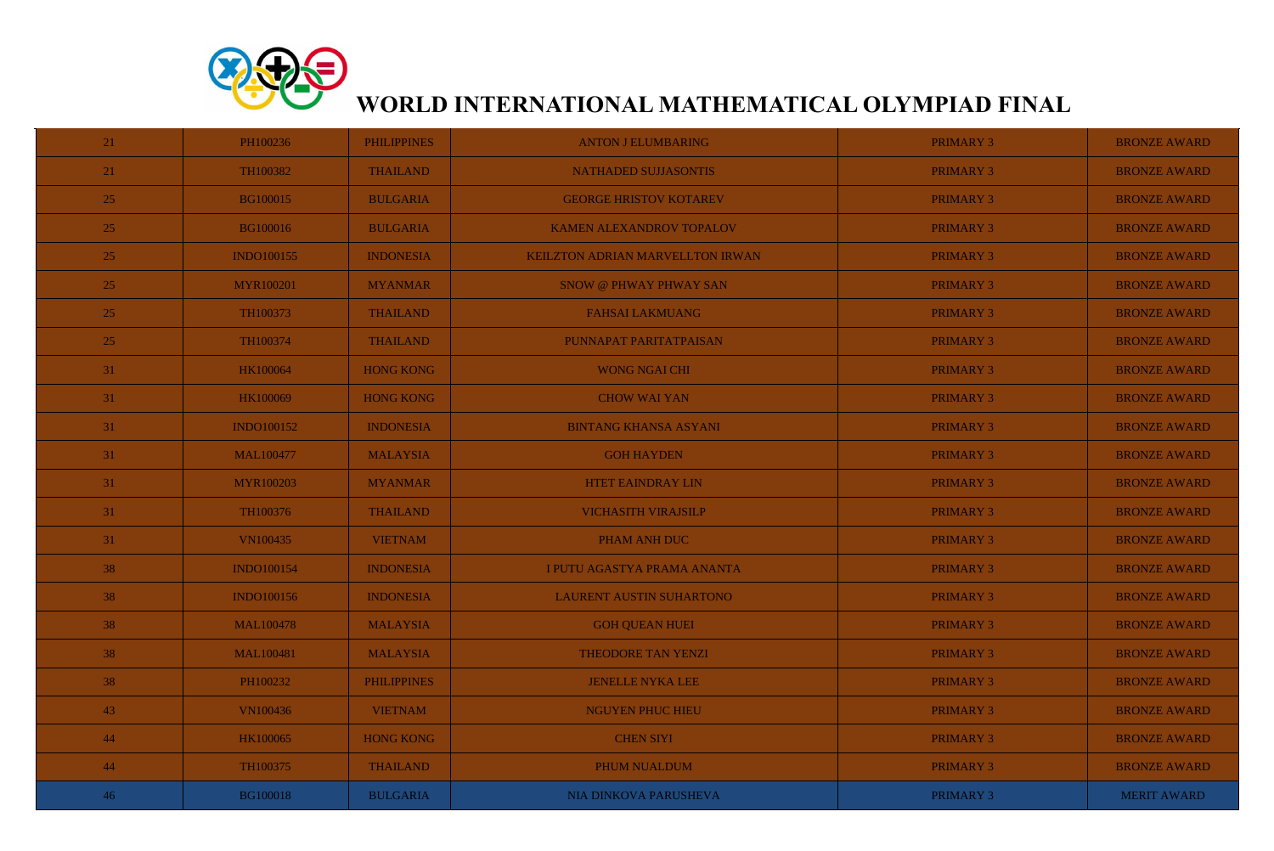

## **WORLD INTERNATIONAL MATHEMATICAL OLYMPIAD FINAL**

| 21 | PH100236          | <b>PHILIPPINES</b> | <b>ANTON J ELUMBARING</b>               | <b>PRIMARY 3</b> | <b>BRONZE AWARD</b> |
|----|-------------------|--------------------|-----------------------------------------|------------------|---------------------|
| 21 | TH100382          | <b>THAILAND</b>    | NATHADED SUJJASONTIS                    | <b>PRIMARY 3</b> | <b>BRONZE AWARD</b> |
| 25 | <b>BG100015</b>   | <b>BULGARIA</b>    | <b>GEORGE HRISTOV KOTAREV</b>           | <b>PRIMARY 3</b> | <b>BRONZE AWARD</b> |
| 25 | <b>BG100016</b>   | <b>BULGARIA</b>    | <b>KAMEN ALEXANDROV TOPALOV</b>         | <b>PRIMARY 3</b> | <b>BRONZE AWARD</b> |
| 25 | <b>INDO100155</b> | <b>INDONESIA</b>   | <b>KEILZTON ADRIAN MARVELLTON IRWAN</b> | <b>PRIMARY 3</b> | <b>BRONZE AWARD</b> |
| 25 | <b>MYR100201</b>  | <b>MYANMAR</b>     | <b>SNOW @ PHWAY PHWAY SAN</b>           | <b>PRIMARY 3</b> | <b>BRONZE AWARD</b> |
| 25 | TH100373          | <b>THAILAND</b>    | <b>FAHSAI LAKMUANG</b>                  | <b>PRIMARY 3</b> | <b>BRONZE AWARD</b> |
| 25 | TH100374          | <b>THAILAND</b>    | PUNNAPAT PARITATPAISAN                  | <b>PRIMARY 3</b> | <b>BRONZE AWARD</b> |
| 31 | <b>HK100064</b>   | <b>HONG KONG</b>   | <b>WONG NGAI CHI</b>                    | <b>PRIMARY 3</b> | <b>BRONZE AWARD</b> |
| 31 | HK100069          | <b>HONG KONG</b>   | <b>CHOW WAI YAN</b>                     | <b>PRIMARY 3</b> | <b>BRONZE AWARD</b> |
| 31 | <b>INDO100152</b> | <b>INDONESIA</b>   | <b>BINTANG KHANSA ASYANI</b>            | <b>PRIMARY 3</b> | <b>BRONZE AWARD</b> |
| 31 | <b>MAL100477</b>  | <b>MALAYSIA</b>    | <b>GOH HAYDEN</b>                       | <b>PRIMARY 3</b> | <b>BRONZE AWARD</b> |
| 31 | <b>MYR100203</b>  | <b>MYANMAR</b>     | <b>HTET EAINDRAY LIN</b>                | <b>PRIMARY 3</b> | <b>BRONZE AWARD</b> |
| 31 | TH100376          | <b>THAILAND</b>    | <b>VICHASITH VIRAJSILP</b>              | <b>PRIMARY 3</b> | <b>BRONZE AWARD</b> |
| 31 | <b>VN100435</b>   | <b>VIETNAM</b>     | <b>PHAM ANH DUC</b>                     | <b>PRIMARY 3</b> | <b>BRONZE AWARD</b> |
| 38 | <b>INDO100154</b> | <b>INDONESIA</b>   | I PUTU AGASTYA PRAMA ANANTA             | <b>PRIMARY 3</b> | <b>BRONZE AWARD</b> |
| 38 | <b>INDO100156</b> | <b>INDONESIA</b>   | <b>LAURENT AUSTIN SUHARTONO</b>         | <b>PRIMARY 3</b> | <b>BRONZE AWARD</b> |
| 38 | <b>MAL100478</b>  | <b>MALAYSIA</b>    | <b>GOH QUEAN HUEI</b>                   | <b>PRIMARY 3</b> | <b>BRONZE AWARD</b> |
| 38 | <b>MAL100481</b>  | <b>MALAYSIA</b>    | <b>THEODORE TAN YENZI</b>               | <b>PRIMARY 3</b> | <b>BRONZE AWARD</b> |
| 38 | PH100232          | <b>PHILIPPINES</b> | <b>JENELLE NYKA LEE</b>                 | <b>PRIMARY 3</b> | <b>BRONZE AWARD</b> |
| 43 | <b>VN100436</b>   | <b>VIETNAM</b>     | <b>NGUYEN PHUC HIEU</b>                 | <b>PRIMARY 3</b> | <b>BRONZE AWARD</b> |
| 44 | <b>HK100065</b>   | <b>HONG KONG</b>   | <b>CHEN SIYI</b>                        | <b>PRIMARY 3</b> | <b>BRONZE AWARD</b> |
| 44 | TH100375          | <b>THAILAND</b>    | PHUM NUALDUM                            | <b>PRIMARY 3</b> | <b>BRONZE AWARD</b> |
| 46 | <b>BG100018</b>   | <b>BULGARIA</b>    | NIA DINKOVA PARUSHEVA                   | PRIMARY 3        | <b>MERIT AWARD</b>  |